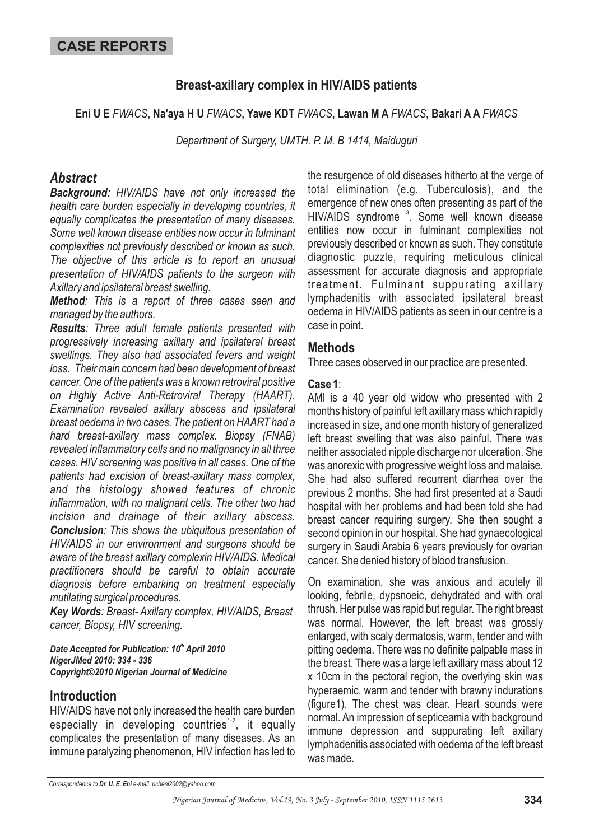# **Breast-axillary complex in HIV/AIDS patients**

Eni U E FWACS, Na'aya H U FWACS, Yawe KDT FWACS, Lawan M A FWACS, Bakari A A FWACS

*Department of Surgery, UMTH. P. M. B 1414, Maiduguri*

## *Abstract*

*Background: HIV/AIDS have not only increased the health care burden especially in developing countries, it equally complicates the presentation of many diseases. Some well known disease entities now occur in fulminant complexities not previously described or known as such. The objective of this article is to report an unusual presentation of HIV/AIDS patients to the surgeon with Axillary and ipsilateral breast swelling.*

*Method : This is a report of three cases seen and managed by the authors.*

*Results : Three adult female patients presented with Conclusion : This shows the ubiquitous presentation of progressively increasing axillary and ipsilateral breast swellings. They also had associated fevers and weight loss. Their main concern had been development of breast cancer. One of the patients was a known retroviral positive on Highly Active Anti-Retroviral Therapy (HAART). Examination revealed axillary abscess and ipsilateral breast oedema in two cases. The patient on HAART had a hard breast-axillary mass complex. Biopsy (FNAB) revealed inflammatory cells and no malignancy in all three cases. HIV screening was positive in all cases. One of the patients had excision of breast-axillary mass complex, and the histology showed features of chronic inflammation, with no malignant cells. The other two had incision and drainage of their axillary abscess. HIV/AIDS in our environment and surgeons should be aware of the breast axillary complexin HIV/AIDS. Medical practitioners should be careful to obtain accurate diagnosis before embarking on treatment especially mutilating surgical procedures.*

*Key Words : Breast- Axillary complex, HIV/AIDS, Breast cancer, Biopsy, HIV screening.*

Date Accepted for Publication: 10<sup>th</sup> April 2010 *NigerJMed 2010: 334 - 336 Copyright©2010 Nigerian Journal of Medicine*

### **Introduction**

HIV/AIDS have not only increased the health care burden especially in developing countries<sup>1-2</sup>, it equally complicates the presentation of many diseases. As an immune paralyzing phenomenon, HIV infection has led to

the resurgence of old diseases hitherto at the verge of total elimination (e.g. Tuberculosis), and the emergence of new ones often presenting as part of the HIV/AIDS syndrome<sup>3</sup>. Some well known disease entities now occur in fulminant complexities not previously described or known as such. They constitute diagnostic puzzle, requiring meticulous clinical assessment for accurate diagnosis and appropriate treatment. Fulminant suppurating axillary lymphadenitis with associated ipsilateral breast oedema in HIV/AIDS patients as seen in our centre is a case in point.

### **Methods**

Three cases observed in our practice are presented.

#### : **Case 1**

AMI is a 40 year old widow who presented with 2 months history of painful left axillary mass which rapidly increased in size, and one month history of generalized left breast swelling that was also painful. There was neither associated nipple discharge nor ulceration. She was anorexic with progressive weight loss and malaise. She had also suffered recurrent diarrhea over the previous 2 months. She had first presented at a Saudi hospital with her problems and had been told she had breast cancer requiring surgery. She then sought a second opinion in our hospital. She had gynaecological surgery in Saudi Arabia 6 years previously for ovarian cancer. She denied history of blood transfusion.

On examination, she was anxious and acutely ill looking, febrile, dypsnoeic, dehydrated and with oral thrush. Her pulse was rapid but regular. The right breast was normal. However, the left breast was grossly enlarged, with scaly dermatosis, warm, tender and with pitting oedema. There was no definite palpable mass in the breast. There was a large left axillary mass about 12 x 10cm in the pectoral region, the overlying skin was hyperaemic, warm and tender with brawny indurations (figure1). The chest was clear. Heart sounds were normal. An impression of septiceamia with background immune depression and suppurating left axillary lymphadenitis associated with oedema of the left breast was made.

*Correspondence to Dr. U. E. Eni e-mail: ucheni2002@yahoo.com*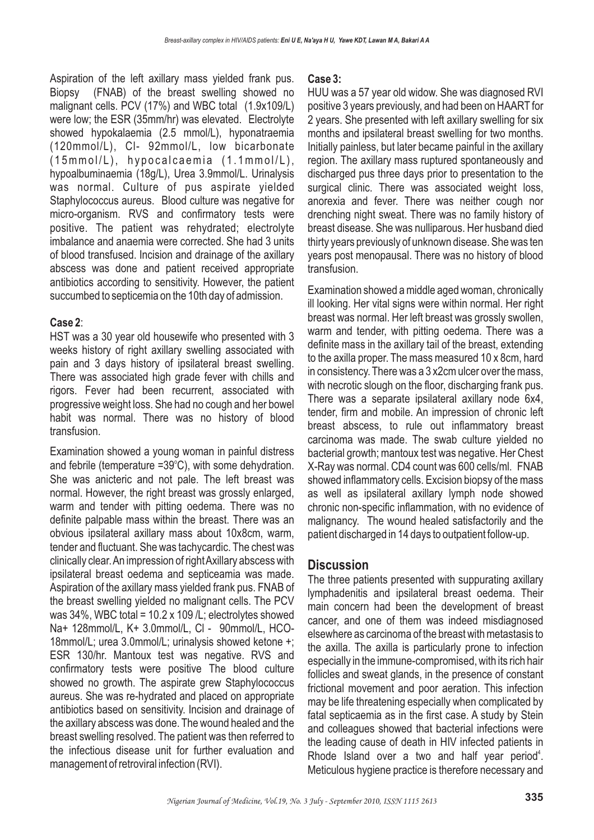Aspiration of the left axillary mass yielded frank pus. Biopsy (FNAB) of the breast swelling showed no malignant cells. PCV (17%) and WBC total (1.9x109/L) were low; the ESR (35mm/hr) was elevated. Electrolyte showed hypokalaemia (2.5 mmol/L), hyponatraemia (120mmol/L), Cl- 92mmol/L, low bicarbonate  $(15mmol/L)$ , hypocalcaemia  $(1.1mmol/L)$ , hypoalbuminaemia (18g/L), Urea 3.9mmol/L. Urinalysis was normal. Culture of pus aspirate yielded Staphylococcus aureus. Blood culture was negative for micro-organism. RVS and confirmatory tests were positive. The patient was rehydrated; electrolyte imbalance and anaemia were corrected. She had 3 units of blood transfused. Incision and drainage of the axillary abscess was done and patient received appropriate antibiotics according to sensitivity. However, the patient succumbed to septicemia on the 10th day of admission.

#### : **Case 2**

HST was a 30 year old housewife who presented with 3 weeks history of right axillary swelling associated with pain and 3 days history of ipsilateral breast swelling. There was associated high grade fever with chills and rigors. Fever had been recurrent, associated with progressive weight loss. She had no cough and her bowel habit was normal. There was no history of blood transfusion.

Examination showed a young woman in painful distress and febrile (temperature  $=39^{\circ}$ C), with some dehydration. She was anicteric and not pale. The left breast was normal. However, the right breast was grossly enlarged, warm and tender with pitting oedema. There was no definite palpable mass within the breast. There was an obvious ipsilateral axillary mass about 10x8cm, warm, tender and fluctuant. She was tachycardic. The chest was clinically clear.An impression of rightAxillary abscess with ipsilateral breast oedema and septiceamia was made. Aspiration of the axillary mass yielded frank pus. FNAB of the breast swelling yielded no malignant cells. The PCV was  $34\%$ , WBC total =  $10.2 \times 109$  /L; electrolytes showed Na+ 128mmol/L, K+ 3.0mmol/L, Cl - 90mmol/L, HCO-18mmol/L; urea 3.0mmol/L; urinalysis showed ketone +; ESR 130/hr. Mantoux test was negative. RVS and confirmatory tests were positive The blood culture showed no growth. The aspirate grew Staphylococcus aureus. She was re-hydrated and placed on appropriate antibiotics based on sensitivity. Incision and drainage of the axillary abscess was done. The wound healed and the breast swelling resolved. The patient was then referred to the infectious disease unit for further evaluation and management of retroviral infection (RVI).

#### **Case 3:**

HUU was a 57 year old widow. She was diagnosed RVI positive 3 years previously, and had been on HAART for 2 years. She presented with left axillary swelling for six months and ipsilateral breast swelling for two months. Initially painless, but later became painful in the axillary region. The axillary mass ruptured spontaneously and discharged pus three days prior to presentation to the surgical clinic. There was associated weight loss, anorexia and fever. There was neither cough nor drenching night sweat. There was no family history of breast disease. She was nulliparous. Her husband died thirty years previously of unknown disease. She was ten years post menopausal. There was no history of blood transfusion.

Examination showed a middle aged woman, chronically ill looking. Her vital signs were within normal. Her right breast was normal. Her left breast was grossly swollen, warm and tender, with pitting oedema. There was a definite mass in the axillary tail of the breast, extending to the axilla proper. The mass measured 10 x 8cm, hard in consistency. There was a 3 x2cm ulcer over the mass, with necrotic slough on the floor, discharging frank pus. There was a separate ipsilateral axillary node 6x4, tender, firm and mobile. An impression of chronic left breast abscess, to rule out inflammatory breast carcinoma was made. The swab culture yielded no bacterial growth; mantoux test was negative. Her Chest X-Ray was normal. CD4 count was 600 cells/ml. FNAB showed inflammatory cells. Excision biopsy of the mass as well as ipsilateral axillary lymph node showed chronic non-specific inflammation, with no evidence of malignancy. The wound healed satisfactorily and the patient discharged in 14 days to outpatient follow-up.

### **Discussion**

The three patients presented with suppurating axillary lymphadenitis and ipsilateral breast oedema. Their main concern had been the development of breast cancer, and one of them was indeed misdiagnosed elsewhere as carcinoma of the breast with metastasis to the axilla. The axilla is particularly prone to infection especially in the immune-compromised, with its rich hair follicles and sweat glands, in the presence of constant frictional movement and poor aeration. This infection may be life threatening especially when complicated by fatal septicaemia as in the first case. A study by Stein and colleagues showed that bacterial infections were the leading cause of death in HIV infected patients in Rhode Island over a two and half year period $4$ . Meticulous hygiene practice is therefore necessary and